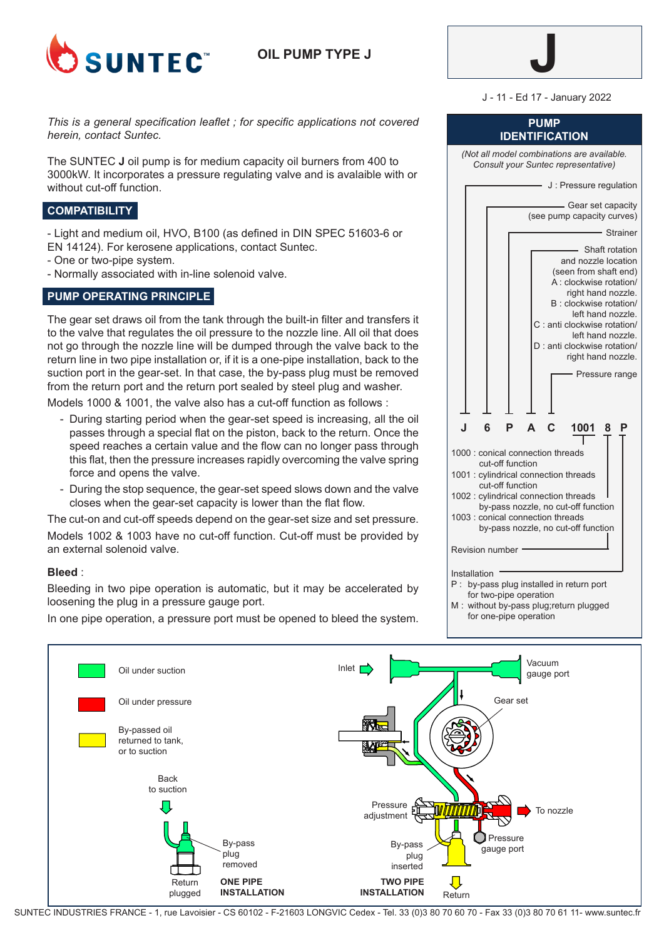

**OIL PUMP TYPE J**



J - 11 - Ed 17 - January 2022

**PUMP**

*This is a general specification leaflet ; for specific applications not covered herein, contact Suntec.*

The SUNTEC **J** oil pump is for medium capacity oil burners from 400 to 3000kW. It incorporates a pressure regulating valve and is avalaible with or without cut-off function.

## **COMPATIBILITY**

- Light and medium oil, HVO, B100 (as defined in DIN SPEC 51603-6 or EN 14124). For kerosene applications, contact Suntec.

- One or two-pipe system.
- Normally associated with in-line solenoid valve.

# **PUMP OPERATING PRINCIPLE**

The gear set draws oil from the tank through the built-in filter and transfers it to the valve that regulates the oil pressure to the nozzle line. All oil that does not go through the nozzle line will be dumped through the valve back to the return line in two pipe installation or, if it is a one-pipe installation, back to the suction port in the gear-set. In that case, the by-pass plug must be removed from the return port and the return port sealed by steel plug and washer.

Models 1000 & 1001, the valve also has a cut-off function as follows :

- During starting period when the gear-set speed is increasing, all the oil passes through a special flat on the piston, back to the return. Once the speed reaches a certain value and the flow can no longer pass through this flat, then the pressure increases rapidly overcoming the valve spring force and opens the valve.
- During the stop sequence, the gear-set speed slows down and the valve closes when the gear-set capacity is lower than the flat flow.

The cut-on and cut-off speeds depend on the gear-set size and set pressure. Models 1002 & 1003 have no cut-off function. Cut-off must be provided by an external solenoid valve.

### **Bleed** :

Bleeding in two pipe operation is automatic, but it may be accelerated by loosening the plug in a pressure gauge port.

In one pipe operation, a pressure port must be opened to bleed the system.

| IDENTIFICATION                                                                                                                                                                                                                                                                                                           |  |  |  |
|--------------------------------------------------------------------------------------------------------------------------------------------------------------------------------------------------------------------------------------------------------------------------------------------------------------------------|--|--|--|
| (Not all model combinations are available.<br>Consult your Suntec representative)                                                                                                                                                                                                                                        |  |  |  |
| - J: Pressure regulation                                                                                                                                                                                                                                                                                                 |  |  |  |
| - Gear set capacity<br>(see pump capacity curves)                                                                                                                                                                                                                                                                        |  |  |  |
| - Strainer                                                                                                                                                                                                                                                                                                               |  |  |  |
| Shaft rotation<br>and nozzle location<br>(seen from shaft end)<br>A : clockwise rotation/<br>right hand nozzle.<br>B : clockwise rotation/<br>left hand nozzle.<br>C : anti clockwise rotation/<br>left hand nozzle.<br>D : anti clockwise rotation/<br>right hand nozzle.<br>Pressure range                             |  |  |  |
| J<br>6<br>P<br>A<br>C<br>1001<br>Р<br>8                                                                                                                                                                                                                                                                                  |  |  |  |
| 1000 : conical connection threads<br>cut-off function<br>1001 : cylindrical connection threads<br>cut-off function<br>1002 : cylindrical connection threads<br>by-pass nozzle, no cut-off function<br>1003 : conical connection threads<br>by-pass nozzle, no cut-off function<br><b>Revision number</b><br>Installation |  |  |  |
| P : by-pass plug installed in return port                                                                                                                                                                                                                                                                                |  |  |  |

for two-pipe operation M : without by-pass plug;return plugged for one-pipe operation



SUNTEC INDUSTRIES FRANCE - 1, rue Lavoisier - CS 60102 - F-21603 LONGVIC Cedex - Tel. 33 (0)3 80 70 60 70 - Fax 33 (0)3 80 70 61 11- www.suntec.fr